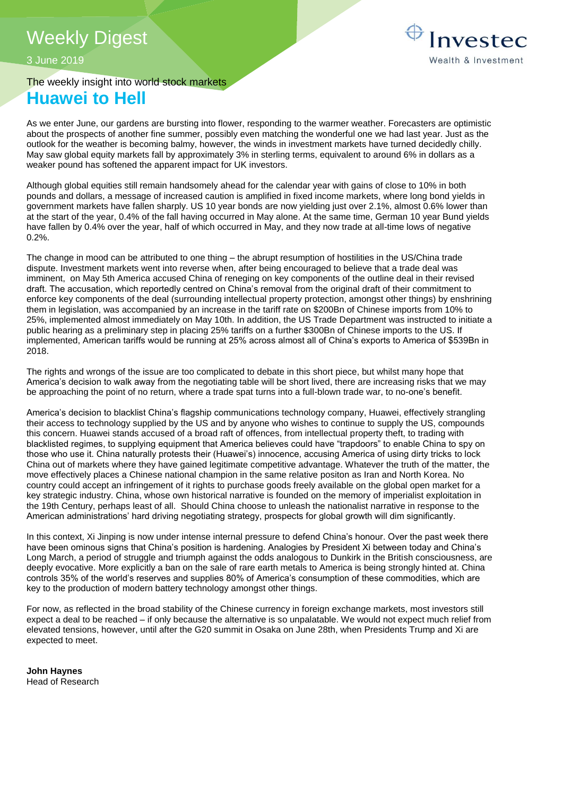# Weekly Digest

3 June 2019

## The weekly insight into world stock markets **Huawei to Hell**

As we enter June, our gardens are bursting into flower, responding to the warmer weather. Forecasters are optimistic about the prospects of another fine summer, possibly even matching the wonderful one we had last year. Just as the outlook for the weather is becoming balmy, however, the winds in investment markets have turned decidedly chilly. May saw global equity markets fall by approximately 3% in sterling terms, equivalent to around 6% in dollars as a weaker pound has softened the apparent impact for UK investors.

Although global equities still remain handsomely ahead for the calendar year with gains of close to 10% in both pounds and dollars, a message of increased caution is amplified in fixed income markets, where long bond yields in government markets have fallen sharply. US 10 year bonds are now yielding just over 2.1%, almost 0.6% lower than at the start of the year, 0.4% of the fall having occurred in May alone. At the same time, German 10 year Bund yields have fallen by 0.4% over the year, half of which occurred in May, and they now trade at all-time lows of negative  $0.2\%$ .

The change in mood can be attributed to one thing – the abrupt resumption of hostilities in the US/China trade dispute. Investment markets went into reverse when, after being encouraged to believe that a trade deal was imminent, on May 5th America accused China of reneging on key components of the outline deal in their revised draft. The accusation, which reportedly centred on China's removal from the original draft of their commitment to enforce key components of the deal (surrounding intellectual property protection, amongst other things) by enshrining them in legislation, was accompanied by an increase in the tariff rate on \$200Bn of Chinese imports from 10% to 25%, implemented almost immediately on May 10th. In addition, the US Trade Department was instructed to initiate a public hearing as a preliminary step in placing 25% tariffs on a further \$300Bn of Chinese imports to the US. If implemented, American tariffs would be running at 25% across almost all of China's exports to America of \$539Bn in 2018.

The rights and wrongs of the issue are too complicated to debate in this short piece, but whilst many hope that America's decision to walk away from the negotiating table will be short lived, there are increasing risks that we may be approaching the point of no return, where a trade spat turns into a full-blown trade war, to no-one's benefit.

America's decision to blacklist China's flagship communications technology company, Huawei, effectively strangling their access to technology supplied by the US and by anyone who wishes to continue to supply the US, compounds this concern. Huawei stands accused of a broad raft of offences, from intellectual property theft, to trading with blacklisted regimes, to supplying equipment that America believes could have "trapdoors" to enable China to spy on those who use it. China naturally protests their (Huawei's) innocence, accusing America of using dirty tricks to lock China out of markets where they have gained legitimate competitive advantage. Whatever the truth of the matter, the move effectively places a Chinese national champion in the same relative positon as Iran and North Korea. No country could accept an infringement of it rights to purchase goods freely available on the global open market for a key strategic industry. China, whose own historical narrative is founded on the memory of imperialist exploitation in the 19th Century, perhaps least of all. Should China choose to unleash the nationalist narrative in response to the American administrations' hard driving negotiating strategy, prospects for global growth will dim significantly.

In this context, Xi Jinping is now under intense internal pressure to defend China's honour. Over the past week there have been ominous signs that China's position is hardening. Analogies by President Xi between today and China's Long March, a period of struggle and triumph against the odds analogous to Dunkirk in the British consciousness, are deeply evocative. More explicitly a ban on the sale of rare earth metals to America is being strongly hinted at. China controls 35% of the world's reserves and supplies 80% of America's consumption of these commodities, which are key to the production of modern battery technology amongst other things.

For now, as reflected in the broad stability of the Chinese currency in foreign exchange markets, most investors still expect a deal to be reached – if only because the alternative is so unpalatable. We would not expect much relief from elevated tensions, however, until after the G20 summit in Osaka on June 28th, when Presidents Trump and Xi are expected to meet.

**John Haynes** Head of Research